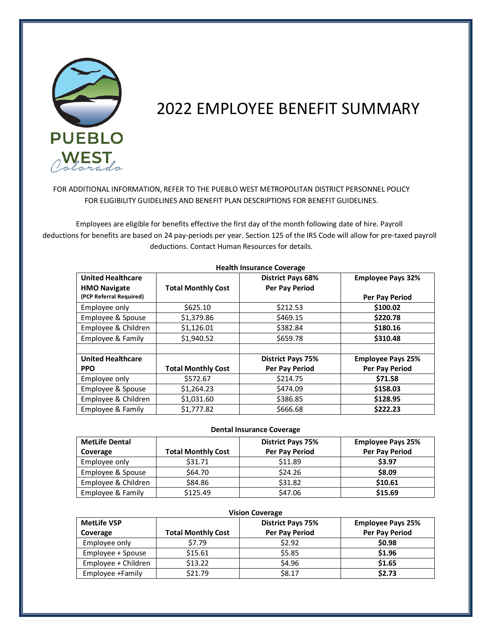

# 2022 EMPLOYEE BENEFIT SUMMARY

FOR ADDITIONAL INFORMATION, REFER TO THE PUEBLO WEST METROPOLITAN DISTRICT PERSONNEL POLICY FOR ELIGIBILITY GUIDELINES AND BENEFIT PLAN DESCRIPTIONS FOR BENEFIT GUIDELINES.

 Employees are eligible for benefits effective the first day of the month following date of hire. Payroll deductions for benefits are based on 24 pay-periods per year. Section 125 of the IRS Code will allow for pre-taxed payroll deductions. Contact Human Resources for details.

| <b>TICAILII IIISUTATICE COVETARE</b>            |                           |                                                   |                          |  |  |  |  |
|-------------------------------------------------|---------------------------|---------------------------------------------------|--------------------------|--|--|--|--|
| <b>United Healthcare</b><br><b>HMO Navigate</b> | <b>Total Monthly Cost</b> | <b>District Pays 68%</b><br><b>Per Pay Period</b> | <b>Employee Pays 32%</b> |  |  |  |  |
| (PCP Referral Required)                         |                           |                                                   | Per Pay Period           |  |  |  |  |
| Employee only                                   | \$625.10                  | \$212.53                                          | \$100.02                 |  |  |  |  |
| Employee & Spouse                               | \$1,379.86                | \$469.15                                          | \$220.78                 |  |  |  |  |
| Employee & Children                             | \$1,126.01                | \$382.84                                          | \$180.16                 |  |  |  |  |
| Employee & Family                               | \$1,940.52                | \$659.78                                          | \$310.48                 |  |  |  |  |
|                                                 |                           |                                                   |                          |  |  |  |  |
| <b>United Healthcare</b>                        |                           | <b>District Pays 75%</b>                          | <b>Employee Pays 25%</b> |  |  |  |  |
| <b>PPO</b>                                      | <b>Total Monthly Cost</b> | Per Pay Period                                    | Per Pay Period           |  |  |  |  |
| Employee only                                   | \$572.67                  | \$214.75                                          | \$71.58                  |  |  |  |  |
| Employee & Spouse                               | \$1,264.23                | \$474.09                                          | \$158.03                 |  |  |  |  |
| Employee & Children                             | \$1,031.60                | \$386.85                                          | \$128.95                 |  |  |  |  |
| Employee & Family                               | \$1,777.82                | \$666.68                                          | \$222.23                 |  |  |  |  |

**Health Insurance Coverage**

# **Dental Insurance Coverage**

| <b>MetLife Dental</b><br>Coverage | <b>Total Monthly Cost</b> | <b>District Pays 75%</b><br>Per Pay Period | <b>Employee Pays 25%</b><br>Per Pay Period |
|-----------------------------------|---------------------------|--------------------------------------------|--------------------------------------------|
| Employee only                     | \$31.71                   | \$11.89                                    | \$3.97                                     |
| Employee & Spouse                 | \$64.70                   | \$24.26                                    | \$8.09                                     |
| Employee & Children               | \$84.86                   | \$31.82                                    | \$10.61                                    |
| Employee & Family                 | \$125.49                  | \$47.06                                    | \$15.69                                    |

| <b>Vision Coverage</b> |                           |                          |                          |  |  |  |  |
|------------------------|---------------------------|--------------------------|--------------------------|--|--|--|--|
| <b>MetLife VSP</b>     |                           | <b>District Pays 75%</b> | <b>Employee Pays 25%</b> |  |  |  |  |
| Coverage               | <b>Total Monthly Cost</b> | Per Pay Period           | Per Pay Period           |  |  |  |  |
| Employee only          | \$7.79                    | \$2.92                   | \$0.98                   |  |  |  |  |
| Employee + Spouse      | \$15.61                   | \$5.85                   | \$1.96                   |  |  |  |  |
| Employee + Children    | \$13.22                   | \$4.96                   | \$1.65                   |  |  |  |  |
| Employee +Family       | \$21.79                   | \$8.17                   | \$2.73                   |  |  |  |  |